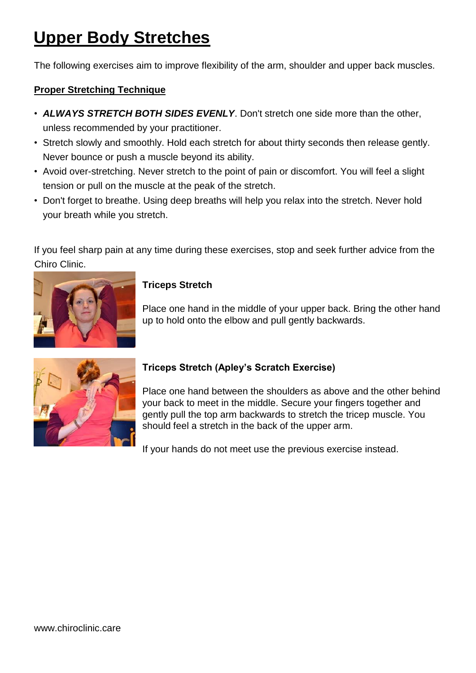# **Upper Body Stretches**

The following exercises aim to improve flexibility of the arm, shoulder and upper back muscles.

### **Proper Stretching Technique**

- *ALWAYS STRETCH BOTH SIDES EVENLY*. Don't stretch one side more than the other, unless recommended by your practitioner.
- Stretch slowly and smoothly. Hold each stretch for about thirty seconds then release gently. Never bounce or push a muscle beyond its ability.
- Avoid over-stretching. Never stretch to the point of pain or discomfort. You will feel a slight tension or pull on the muscle at the peak of the stretch.
- Don't forget to breathe. Using deep breaths will help you relax into the stretch. Never hold your breath while you stretch.

If you feel sharp pain at any time during these exercises, stop and seek further advice from the Chiro Clinic.



### **Triceps Stretch**

Place one hand in the middle of your upper back. Bring the other hand up to hold onto the elbow and pull gently backwards.



## **Triceps Stretch (Apley's Scratch Exercise)**

Place one hand between the shoulders as above and the other behind your back to meet in the middle. Secure your fingers together and gently pull the top arm backwards to stretch the tricep muscle. You should feel a stretch in the back of the upper arm.

If your hands do not meet use the previous exercise instead.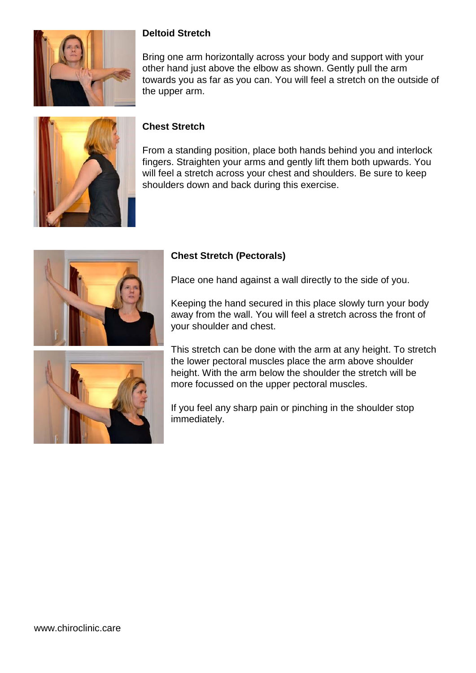

### **Deltoid Stretch**

Bring one arm horizontally across your body and support with your other hand just above the elbow as shown. Gently pull the arm towards you as far as you can. You will feel a stretch on the outside of the upper arm.



### **Chest Stretch**

From a standing position, place both hands behind you and interlock fingers. Straighten your arms and gently lift them both upwards. You will feel a stretch across your chest and shoulders. Be sure to keep shoulders down and back during this exercise.



### **Chest Stretch (Pectorals)**

Place one hand against a wall directly to the side of you.

Keeping the hand secured in this place slowly turn your body away from the wall. You will feel a stretch across the front of your shoulder and chest.

This stretch can be done with the arm at any height. To stretch the lower pectoral muscles place the arm above shoulder height. With the arm below the shoulder the stretch will be more focussed on the upper pectoral muscles.

If you feel any sharp pain or pinching in the shoulder stop immediately.